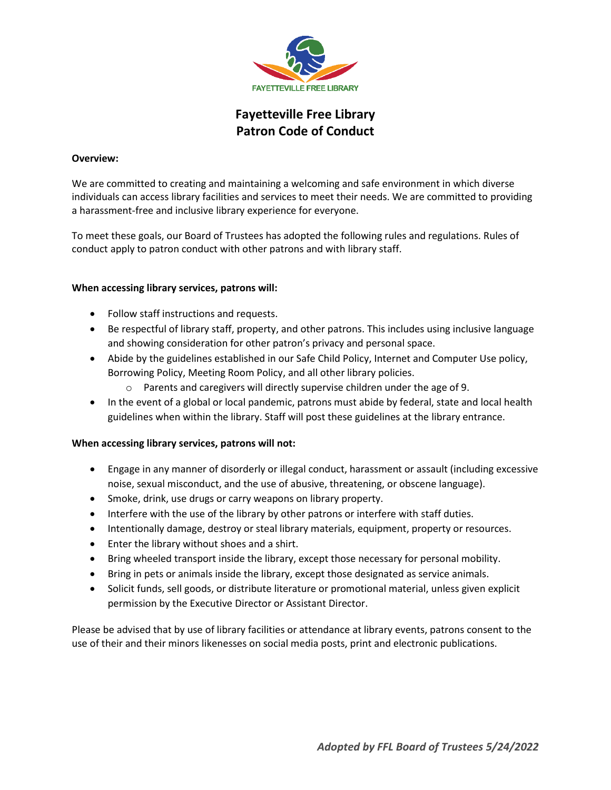

# **Fayetteville Free Library Patron Code of Conduct**

### **Overview:**

We are committed to creating and maintaining a welcoming and safe environment in which diverse individuals can access library facilities and services to meet their needs. We are committed to providing a harassment-free and inclusive library experience for everyone.

To meet these goals, our Board of Trustees has adopted the following rules and regulations. Rules of conduct apply to patron conduct with other patrons and with library staff.

#### **When accessing library services, patrons will:**

- Follow staff instructions and requests.
- Be respectful of library staff, property, and other patrons. This includes using inclusive language and showing consideration for other patron's privacy and personal space.
- Abide by the guidelines established in our Safe Child Policy, Internet and Computer Use policy, Borrowing Policy, Meeting Room Policy, and all other library policies.
	- o Parents and caregivers will directly supervise children under the age of 9.
- In the event of a global or local pandemic, patrons must abide by federal, state and local health guidelines when within the library. Staff will post these guidelines at the library entrance.

## **When accessing library services, patrons will not:**

- Engage in any manner of disorderly or illegal conduct, harassment or assault (including excessive noise, sexual misconduct, and the use of abusive, threatening, or obscene language).
- Smoke, drink, use drugs or carry weapons on library property.
- Interfere with the use of the library by other patrons or interfere with staff duties.
- Intentionally damage, destroy or steal library materials, equipment, property or resources.
- Enter the library without shoes and a shirt.
- Bring wheeled transport inside the library, except those necessary for personal mobility.
- Bring in pets or animals inside the library, except those designated as service animals.
- Solicit funds, sell goods, or distribute literature or promotional material, unless given explicit permission by the Executive Director or Assistant Director.

Please be advised that by use of library facilities or attendance at library events, patrons consent to the use of their and their minors likenesses on social media posts, print and electronic publications.